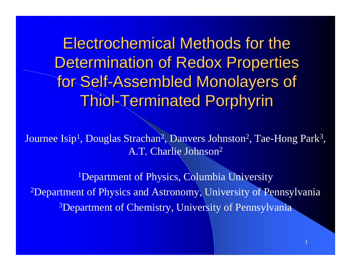Electrochemical Methods for the Determination of Redox Properties for Self-Assembled Monolayers of Thiol -Terminated Terminated Porphyrin Porphyrin

Journee Isip<sup>1</sup>, Douglas Strachan<sup>2</sup>, Danvers Johnston<sup>2</sup>, Tae-Hong Park<sup>3</sup>, A.T. Charlie Johnson 2

<sup>1</sup>Department of Physics, Columbia University 2Department of Physics and Astronomy, University of Pennsylvania <sup>3</sup>Department of Chemistry, University of Pennsylvania

1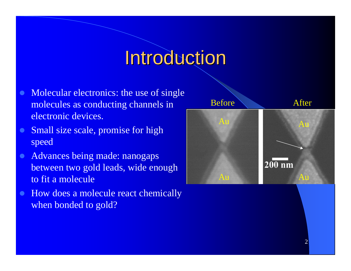## **Introduction**

- $\bullet$  Molecular electronics: the use of single molecules as conducting channels in electronic devices.
- $\bullet$  Small size scale, promise for high speed
- $\bullet$  Advances being made: nanogaps between two gold leads, wide enough to fit a molecule
- $\bullet$  How does a molecule react chemically when bonded to gold?

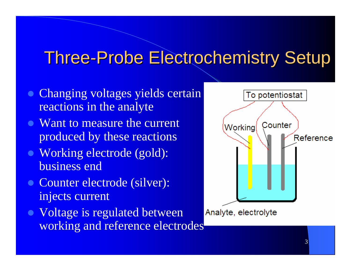### **Three-Probe Electrochemistry Setup**

- Changing voltages yields certain reactions in the analyte
- Want to measure the current produced by these reactions
- Working electrode (gold): business end
- Counter electrode (silver): injects current
- Voltage is regulated between working and reference electrodes

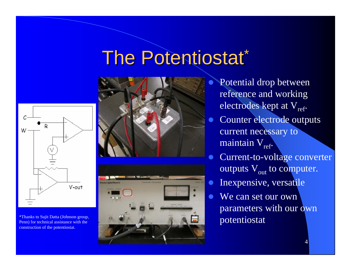## The Potentiostat\*



construction of the potentiostat.





 $\bullet$  Potential drop between reference and working electrodes kept at V<sub>ref</sub>.  $\bullet$  Counter electrode outputs current necessary to maintain  $V_{ref}$ .  $\bullet$  Current-to-voltage converter outputs  $\rm V_{out}$  to computer.  $\bullet$  Inexpensive, versatile  $\bullet$  We can set our own parameters with our own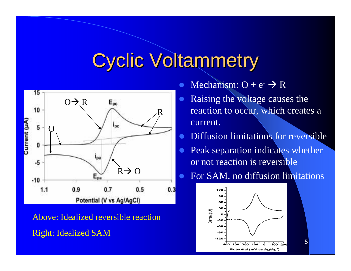## **Cyclic Voltammetry**



Above: Idealized reversible reaction Right: Idealized SAM

- $\bullet$ • Mechanism:  $O + e^ \rightarrow$  R
- $\bullet$  Raising the voltage causes the reaction to occur, which creates a current.
- $\bullet$ Diffusion limitations for reversible
- $\bullet$  Peak separation indicates whether or not reaction is reversible
- $\bullet$ For SAM, no diffusion limitations



5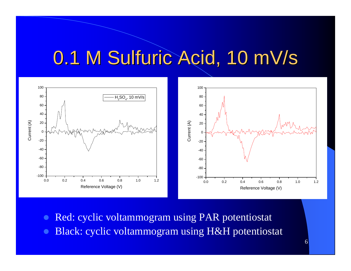## 0.1 M Sulfuric Acid, 10 mV/s



- **z** Red: cyclic voltammogram using PAR potentiostat
- **z** Black: cyclic voltammogram using H&H potentiostat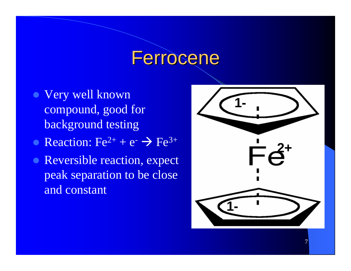### Ferrocene

- Very well known compound, good for background testing
- Reaction:  $Fe^{2+} + e^{-} \rightarrow Fe^{3+}$
- Reversible reaction, expect peak separation to be close and constant

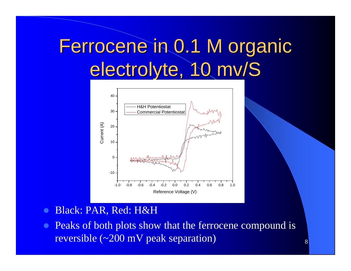# Ferrocene in 0.1 M organic electrolyte, 10 mv/S



#### $\bullet$ Black: PAR, Red: H&H

 $\bullet$  Peaks of both plots show that the ferrocene compound is reversible (~200 mV peak separation)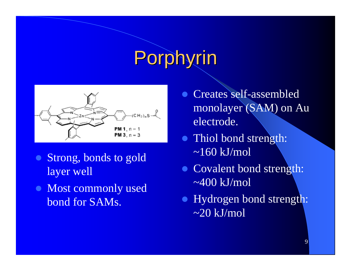# Porphyrin



- $\bullet$  Strong, bonds to gold layer well
- Most commonly used bond for SAMs.
- Creates self-assembled monolayer (SAM) on Au electrode.
- Thiol bond strength:  $\sim$ 160 kJ/mol
- Covalent bond strength:  $\sim$ 400 kJ/mol
- Hydrogen bond strength:  $\sim$ 20 kJ/mol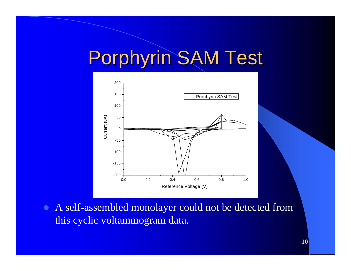# Porphyrin SAM Test



• A self-assembled monolayer could not be detected from this cyclic voltammogram data.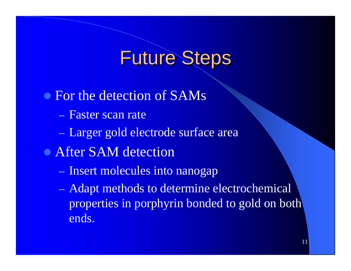## **Future Steps**

• For the detection of SAMs – Faster scan rate  $\mathcal{L}_{\mathcal{A}}$ – Larger gold electrode surface area • After SAM detection – Insert molecules into nanogap  $\mathcal{L}_{\mathcal{A}}$ – Adapt methods to determine electrochemical

properties in porphyrin bonded to gold on both ends.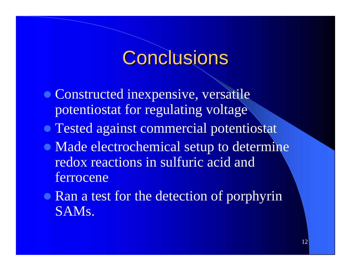## Conclusions

- Constructed inexpensive, versatile potentiostat for regulating voltage
- **Tested against commercial potentiostat**
- Made electrochemical setup to determine redox reactions in sulfuric acid and ferrocene
- Ran a test for the detection of porphyrin SAMs.